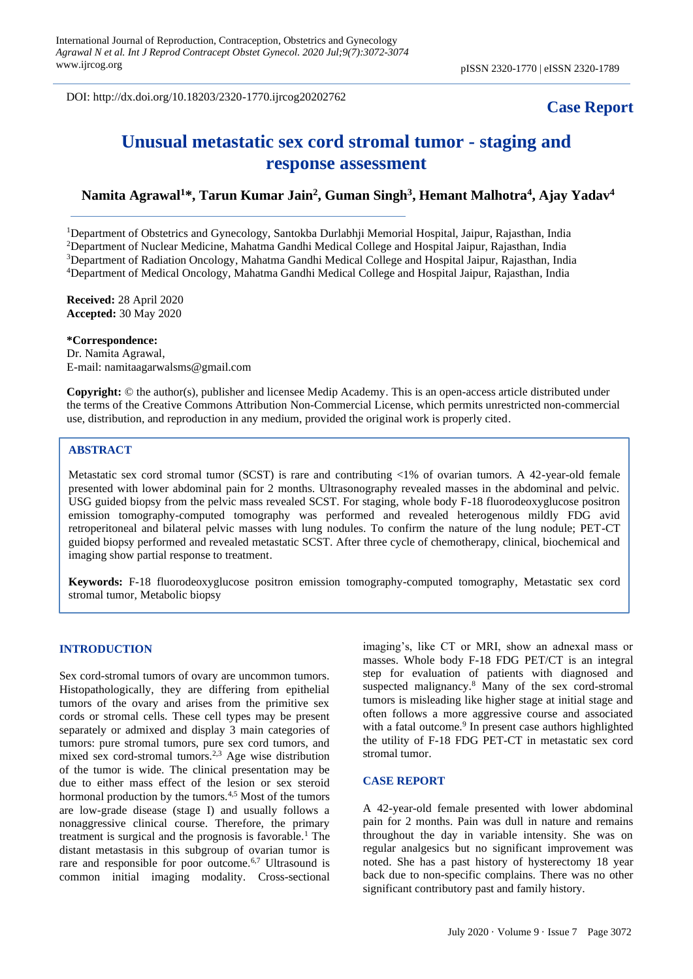DOI: http://dx.doi.org/10.18203/2320-1770.ijrcog20202762

# **Case Report**

# **Unusual metastatic sex cord stromal tumor - staging and response assessment**

## **Namita Agrawal<sup>1</sup>\*, Tarun Kumar Jain<sup>2</sup> , Guman Singh<sup>3</sup> , Hemant Malhotra<sup>4</sup> , Ajay Yadav<sup>4</sup>**

Department of Obstetrics and Gynecology, Santokba Durlabhji Memorial Hospital, Jaipur, Rajasthan, India Department of Nuclear Medicine, Mahatma Gandhi Medical College and Hospital Jaipur, Rajasthan, India <sup>3</sup>Department of Radiation Oncology, Mahatma Gandhi Medical College and Hospital Jaipur, Rajasthan, India Department of Medical Oncology, Mahatma Gandhi Medical College and Hospital Jaipur, Rajasthan, India

**Received:** 28 April 2020 **Accepted:** 30 May 2020

#### **\*Correspondence:**

Dr. Namita Agrawal, E-mail: namitaagarwalsms@gmail.com

**Copyright:** © the author(s), publisher and licensee Medip Academy. This is an open-access article distributed under the terms of the Creative Commons Attribution Non-Commercial License, which permits unrestricted non-commercial use, distribution, and reproduction in any medium, provided the original work is properly cited.

## **ABSTRACT**

Metastatic sex cord stromal tumor (SCST) is rare and contributing <1% of ovarian tumors. A 42-year-old female presented with lower abdominal pain for 2 months. Ultrasonography revealed masses in the abdominal and pelvic. USG guided biopsy from the pelvic mass revealed SCST. For staging, whole body F-18 fluorodeoxyglucose positron emission tomography-computed tomography was performed and revealed heterogenous mildly FDG avid retroperitoneal and bilateral pelvic masses with lung nodules. To confirm the nature of the lung nodule; PET-CT guided biopsy performed and revealed metastatic SCST. After three cycle of chemotherapy, clinical, biochemical and imaging show partial response to treatment.

**Keywords:** F-18 fluorodeoxyglucose positron emission tomography-computed tomography, Metastatic sex cord stromal tumor, Metabolic biopsy

#### **INTRODUCTION**

Sex cord-stromal tumors of ovary are uncommon tumors. Histopathologically, they are differing from epithelial tumors of the ovary and arises from the primitive sex cords or stromal cells. These cell types may be present separately or admixed and display 3 main categories of tumors: pure stromal tumors, pure sex cord tumors, and mixed sex cord-stromal tumors.<sup>2,3</sup> Age wise distribution of the tumor is wide. The clinical presentation may be due to either mass effect of the lesion or sex steroid hormonal production by the tumors.<sup>4,5</sup> Most of the tumors are low-grade disease (stage I) and usually follows a nonaggressive clinical course. Therefore, the primary treatment is surgical and the prognosis is favorable.<sup>1</sup> The distant metastasis in this subgroup of ovarian tumor is rare and responsible for poor outcome.<sup>6,7</sup> Ultrasound is common initial imaging modality. Cross-sectional imaging's, like CT or MRI, show an adnexal mass or masses. Whole body F-18 FDG PET/CT is an integral step for evaluation of patients with diagnosed and suspected malignancy.<sup>8</sup> Many of the sex cord-stromal tumors is misleading like higher stage at initial stage and often follows a more aggressive course and associated with a fatal outcome.<sup>9</sup> In present case authors highlighted the utility of F-18 FDG PET-CT in metastatic sex cord stromal tumor.

### **CASE REPORT**

A 42-year-old female presented with lower abdominal pain for 2 months. Pain was dull in nature and remains throughout the day in variable intensity. She was on regular analgesics but no significant improvement was noted. She has a past history of hysterectomy 18 year back due to non-specific complains. There was no other significant contributory past and family history.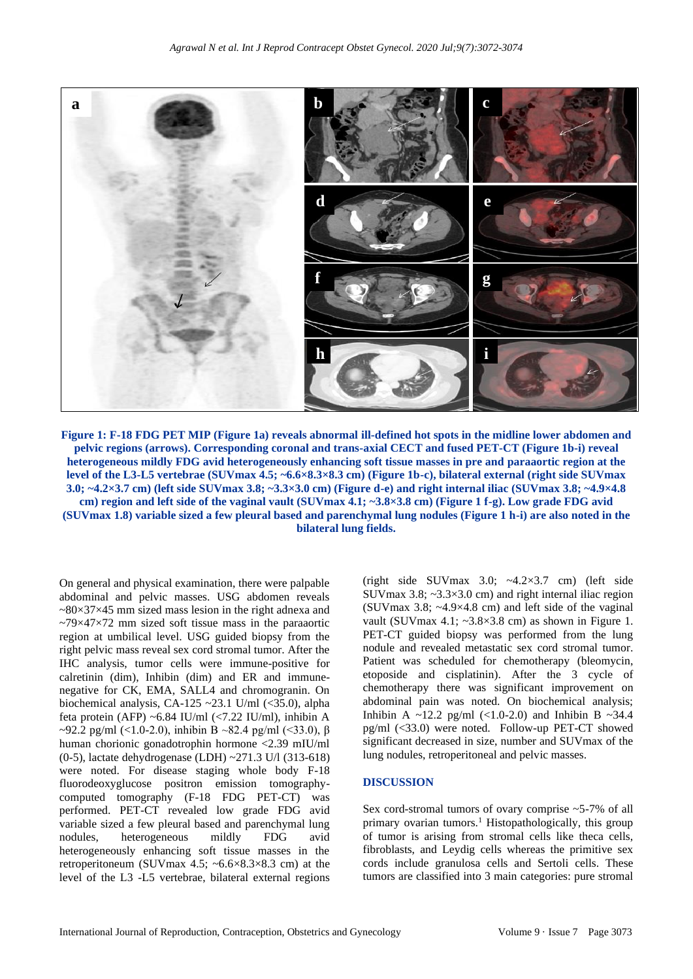

**Figure 1: F-18 FDG PET MIP (Figure 1a) reveals abnormal ill-defined hot spots in the midline lower abdomen and pelvic regions (arrows). Corresponding coronal and trans-axial CECT and fused PET-CT (Figure 1b-i) reveal heterogeneous mildly FDG avid heterogeneously enhancing soft tissue masses in pre and paraaortic region at the level of the L3-L5 vertebrae (SUVmax 4.5; ~6.6×8.3×8.3 cm) (Figure 1b-c), bilateral external (right side SUVmax 3.0; ~4.2×3.7 cm) (left side SUVmax 3.8; ~3.3×3.0 cm) (Figure d-e) and right internal iliac (SUVmax 3.8; ~4.9×4.8 cm) region and left side of the vaginal vault (SUVmax 4.1; ~3.8×3.8 cm) (Figure 1 f-g). Low grade FDG avid (SUVmax 1.8) variable sized a few pleural based and parenchymal lung nodules (Figure 1 h-i) are also noted in the bilateral lung fields.**

On general and physical examination, there were palpable abdominal and pelvic masses. USG abdomen reveals  $\approx 80 \times 37 \times 45$  mm sized mass lesion in the right adnexa and  $\approx$ 79 $\times$ 47 $\times$ 72 mm sized soft tissue mass in the paraaortic region at umbilical level. USG guided biopsy from the right pelvic mass reveal sex cord stromal tumor. After the IHC analysis, tumor cells were immune-positive for calretinin (dim), Inhibin (dim) and ER and immunenegative for CK, EMA, SALL4 and chromogranin. On biochemical analysis, CA-125 ~23.1 U/ml  $(\leq 35.0)$ , alpha feta protein (AFP) ~6.84 IU/ml (<7.22 IU/ml), inhibin A ~92.2 pg/ml (<1.0-2.0), inhibin B ~82.4 pg/ml (<33.0),  $\beta$ human chorionic gonadotrophin hormone <2.39 mIU/ml (0-5), lactate dehydrogenase (LDH) ~271.3 U/l (313-618) were noted. For disease staging whole body F-18 fluorodeoxyglucose positron emission tomographycomputed tomography (F-18 FDG PET-CT) was performed. PET-CT revealed low grade FDG avid variable sized a few pleural based and parenchymal lung nodules, heterogeneous mildly FDG avid heterogeneously enhancing soft tissue masses in the retroperitoneum (SUVmax 4.5;  $\sim 6.6 \times 8.3 \times 8.3$  cm) at the level of the L3 -L5 vertebrae, bilateral external regions (right side SUVmax  $3.0$ ;  $\sim$  4.2 $\times$ 3.7 cm) (left side SUVmax  $3.8$ ;  $\sim$   $3.3 \times 3.0$  cm) and right internal iliac region (SUVmax 3.8;  $\sim$ 4.9 $\times$ 4.8 cm) and left side of the vaginal vault (SUVmax 4.1;  $\sim$ 3.8 $\times$ 3.8 cm) as shown in Figure 1. PET-CT guided biopsy was performed from the lung nodule and revealed metastatic sex cord stromal tumor. Patient was scheduled for chemotherapy (bleomycin, etoposide and cisplatinin). After the 3 cycle of chemotherapy there was significant improvement on abdominal pain was noted. On biochemical analysis; Inhibin A ~12.2 pg/ml  $(\langle 1.0-2.0 \rangle)$  and Inhibin B ~34.4 pg/ml (<33.0) were noted. Follow-up PET-CT showed significant decreased in size, number and SUVmax of the lung nodules, retroperitoneal and pelvic masses.

#### **DISCUSSION**

Sex cord-stromal tumors of ovary comprise ~5-7% of all primary ovarian tumors.<sup>1</sup> Histopathologically, this group of tumor is arising from stromal cells like theca cells, fibroblasts, and Leydig cells whereas the primitive sex cords include granulosa cells and Sertoli cells. These tumors are classified into 3 main categories: pure stromal